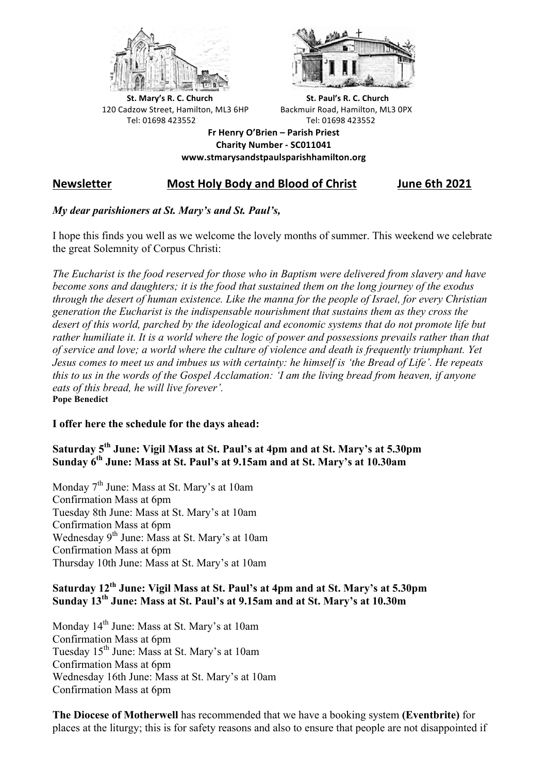



**St.** Mary's R. C. Church St. Paul's R. C. Church 120 Cadzow Street, Hamilton, ML3 6HP Backmuir Road, Hamilton, ML3 0PX Tel: 01698 423552 Tel: 01698 423552

**Fr Henry O'Brien – Parish Priest Charity Number - SC011041 www.stmarysandstpaulsparishhamilton.org**

# **Newsletter Most Holy Body and Blood of Christ June 6th 2021**

## *My dear parishioners at St. Mary's and St. Paul's,*

I hope this finds you well as we welcome the lovely months of summer. This weekend we celebrate the great Solemnity of Corpus Christi:

*The Eucharist is the food reserved for those who in Baptism were delivered from slavery and have become sons and daughters; it is the food that sustained them on the long journey of the exodus through the desert of human existence. Like the manna for the people of Israel, for every Christian generation the Eucharist is the indispensable nourishment that sustains them as they cross the desert of this world, parched by the ideological and economic systems that do not promote life but rather humiliate it. It is a world where the logic of power and possessions prevails rather than that of service and love; a world where the culture of violence and death is frequently triumphant. Yet Jesus comes to meet us and imbues us with certainty: he himself is 'the Bread of Life'. He repeats this to us in the words of the Gospel Acclamation: 'I am the living bread from heaven, if anyone eats of this bread, he will live forever'.* **Pope Benedict**

### **I offer here the schedule for the days ahead:**

## **Saturday 5th June: Vigil Mass at St. Paul's at 4pm and at St. Mary's at 5.30pm Sunday 6th June: Mass at St. Paul's at 9.15am and at St. Mary's at 10.30am**

Monday  $7<sup>th</sup>$  June: Mass at St. Mary's at 10am Confirmation Mass at 6pm Tuesday 8th June: Mass at St. Mary's at 10am Confirmation Mass at 6pm Wednesday 9<sup>th</sup> June: Mass at St. Mary's at 10am Confirmation Mass at 6pm Thursday 10th June: Mass at St. Mary's at 10am

## **Saturday 12th June: Vigil Mass at St. Paul's at 4pm and at St. Mary's at 5.30pm Sunday 13th June: Mass at St. Paul's at 9.15am and at St. Mary's at 10.30m**

Monday 14<sup>th</sup> June: Mass at St. Mary's at 10am Confirmation Mass at 6pm Tuesday 15th June: Mass at St. Mary's at 10am Confirmation Mass at 6pm Wednesday 16th June: Mass at St. Mary's at 10am Confirmation Mass at 6pm

**The Diocese of Motherwell** has recommended that we have a booking system **(Eventbrite)** for places at the liturgy; this is for safety reasons and also to ensure that people are not disappointed if